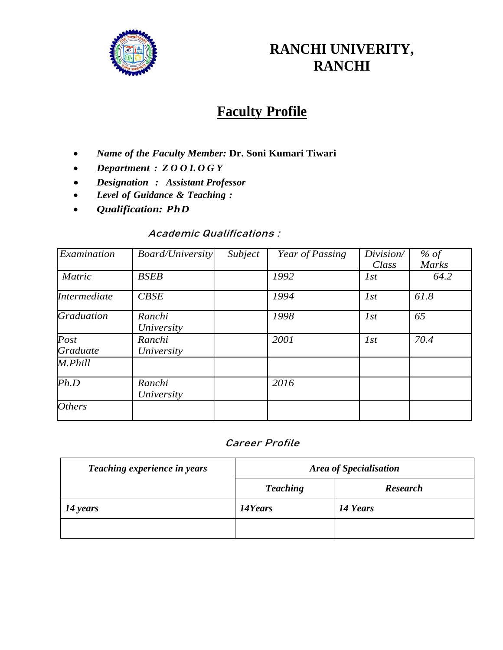

# **RANCHI UNIVERITY, RANCHI**

# **Faculty Profile**

- *Name of the Faculty Member:* **Dr. Soni Kumari Tiwari**
- *Department : Z O O L O G Y*
- *Designation : Assistant Professor*
- *Level of Guidance & Teaching :*
- *Qualification: PhD*

## **Academic Qualifications :**

| Examination         | <b>Board/University</b> | Subject | Year of Passing | Division/<br>Class | % of<br>Marks |
|---------------------|-------------------------|---------|-----------------|--------------------|---------------|
| <b>Matric</b>       | <b>BSEB</b>             |         | 1992            | 1st                | 64.2          |
| <i>Intermediate</i> | CBSE                    |         | 1994            | I <sub>st</sub>    | 61.8          |
| <b>Graduation</b>   | Ranchi<br>University    |         | 1998            | 1st                | 65            |
| Post<br>Graduate    | Ranchi<br>University    |         | 2001            | 1st                | 70.4          |
| M.Phill             |                         |         |                 |                    |               |
| Ph.D                | Ranchi<br>University    |         | 2016            |                    |               |
| <b>Others</b>       |                         |         |                 |                    |               |

# **Career Profile**

| Teaching experience in years | <b>Area of Specialisation</b> |                 |  |
|------------------------------|-------------------------------|-----------------|--|
|                              | <b>Teaching</b>               | <b>Research</b> |  |
| 14 years                     | 14Years                       | 14 Years        |  |
|                              |                               |                 |  |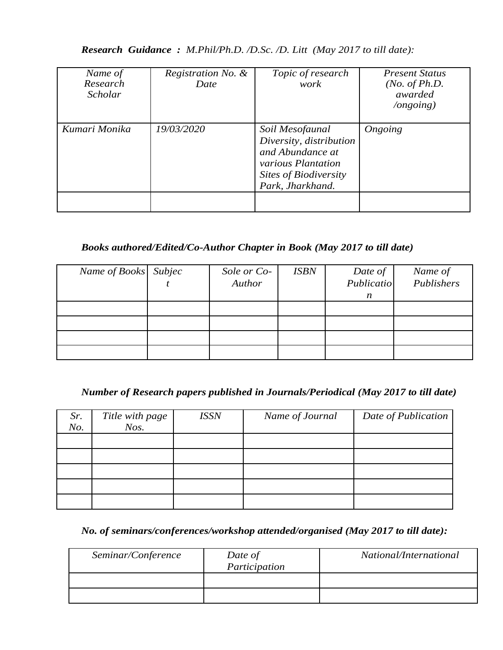#### *Research Guidance : M.Phil/Ph.D. /D.Sc. /D. Litt (May 2017 to till date):*

| Name of<br>Research<br><b>Scholar</b> | Registration No. &<br>Date | Topic of research<br>work                                                                                                         | <b>Present Status</b><br>( <i>No. of Ph.D.</i><br>awarded<br>$\log$ ongoing) |
|---------------------------------------|----------------------------|-----------------------------------------------------------------------------------------------------------------------------------|------------------------------------------------------------------------------|
| Kumari Monika                         | 19/03/2020                 | Soil Mesofaunal<br>Diversity, distribution<br>and Abundance at<br>various Plantation<br>Sites of Biodiversity<br>Park, Jharkhand. | Ongoing                                                                      |

# *Books authored/Edited/Co-Author Chapter in Book (May 2017 to till date)*

| Name of Books Subjec | Sole or Co-<br>Author | <b>ISBN</b> | Date of<br>Publicatio | Name of<br>Publishers |
|----------------------|-----------------------|-------------|-----------------------|-----------------------|
|                      |                       |             | n                     |                       |
|                      |                       |             |                       |                       |
|                      |                       |             |                       |                       |
|                      |                       |             |                       |                       |
|                      |                       |             |                       |                       |

## *Number of Research papers published in Journals/Periodical (May 2017 to till date)*

| Sr.<br>No. | Title with page<br>$N$ os. | <b>ISSN</b> | Name of Journal | Date of Publication |
|------------|----------------------------|-------------|-----------------|---------------------|
|            |                            |             |                 |                     |
|            |                            |             |                 |                     |
|            |                            |             |                 |                     |
|            |                            |             |                 |                     |
|            |                            |             |                 |                     |

# *No. of seminars/conferences/workshop attended/organised (May 2017 to till date):*

| Seminar/Conference | Date of<br>Participation | National/International |
|--------------------|--------------------------|------------------------|
|                    |                          |                        |
|                    |                          |                        |